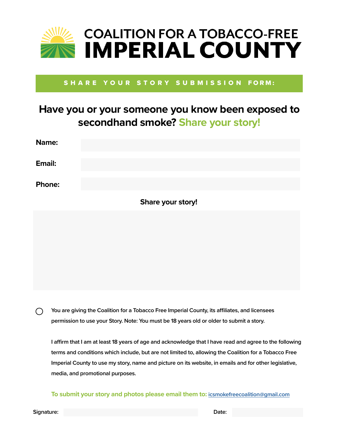

#### SHARE YOUR STORY SUBMISSION FORM:

## **Have you or your someone you know been exposed to secondhand smoke? Share your story!**

| Name:         |                   |  |
|---------------|-------------------|--|
| Email:        |                   |  |
| <b>Phone:</b> |                   |  |
|               | Share your story! |  |
|               |                   |  |

**You are giving the Coalition for a Tobacco Free Imperial County, its affiliates, and licensees**  ◯ **permission to use your Story. Note: You must be 18 years old or older to submit a story.**

**I affirm that I am at least 18 years of age and acknowledge that I have read and agree to the following terms and conditions which include, but are not limited to, allowing the Coalition for a Tobacco Free Imperial County to use my story, name and picture on its website, in emails and for other legislative, media, and promotional purposes.** 

**To submit your story and photos please email them to: [icsmokefreecoalition@gmail.com](mailto:icsmokefreecoalition%40gmail.com?subject=Share%20your%20Story%21%20)**

**Signature: Date:**